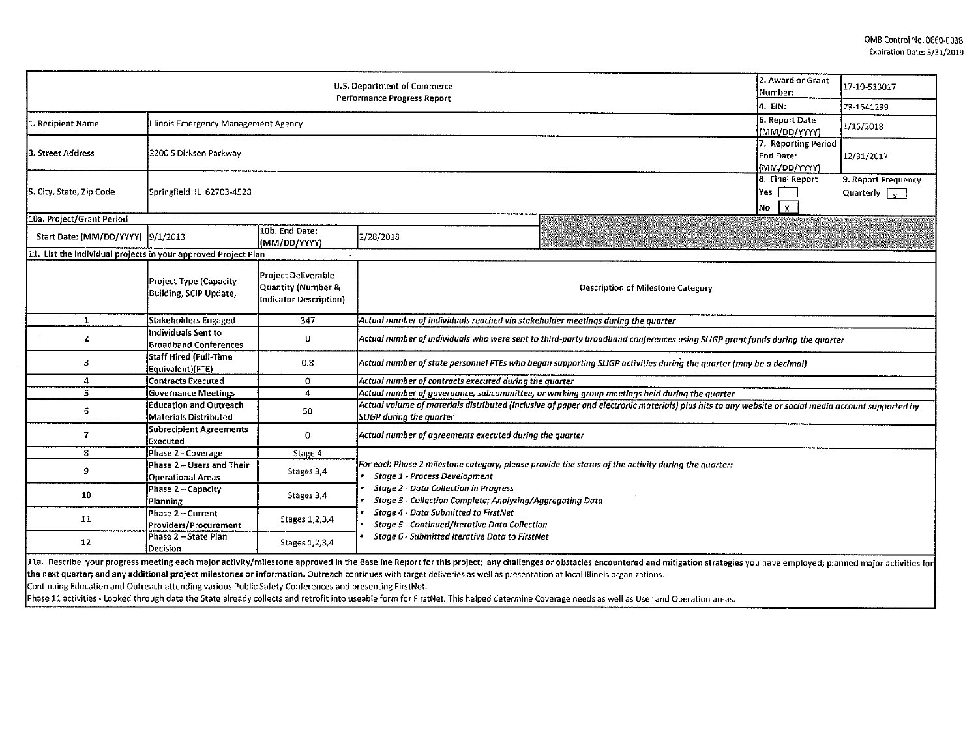|                                                                                                        |                                                               |                                                                     | U.S. Department of Commerce                                                                                                                                                |                                                                                                                                                                                                                                | 2. Award or Grant<br>Number:                     | 17-10-513017                                |
|--------------------------------------------------------------------------------------------------------|---------------------------------------------------------------|---------------------------------------------------------------------|----------------------------------------------------------------------------------------------------------------------------------------------------------------------------|--------------------------------------------------------------------------------------------------------------------------------------------------------------------------------------------------------------------------------|--------------------------------------------------|---------------------------------------------|
| <b>Performance Progress Report</b>                                                                     |                                                               |                                                                     |                                                                                                                                                                            |                                                                                                                                                                                                                                |                                                  | 73-1641239                                  |
| 1. Recipient Name                                                                                      | Illinois Emergency Management Agency                          |                                                                     |                                                                                                                                                                            |                                                                                                                                                                                                                                | 6 Report Date<br>(MM/DD/YYYY)                    | 1/15/2018                                   |
| 3. Street Address                                                                                      | 2200 S Dirksen Parkway                                        |                                                                     |                                                                                                                                                                            |                                                                                                                                                                                                                                | 7. Reporting Period<br>End Date:<br>(MM/DD/YYYY) | 12/31/2017                                  |
| 5. City, State, Zip Code                                                                               | Springfield IL 62703-4528                                     |                                                                     |                                                                                                                                                                            |                                                                                                                                                                                                                                | 8. Final Report<br>Yes.<br>l x l<br>No           | 9. Report Frequency<br>Quarterly $\sqrt{x}$ |
| 10a. Project/Grant Period                                                                              |                                                               |                                                                     |                                                                                                                                                                            |                                                                                                                                                                                                                                |                                                  |                                             |
| Start Date: (MM/DD/YYYY) 9/1/2013                                                                      |                                                               | 10b. End Date:<br>(MM/DD/YYYY)                                      | 2/28/2018                                                                                                                                                                  |                                                                                                                                                                                                                                |                                                  |                                             |
| 11. List the individual projects in your approved Project Plan                                         |                                                               |                                                                     |                                                                                                                                                                            |                                                                                                                                                                                                                                |                                                  |                                             |
|                                                                                                        | Project Type (Capacity<br>Building, SCIP Update,              | Project Deliverable<br>Quantity (Number &<br>Indicator Description} |                                                                                                                                                                            | <b>Description of Milestone Category</b>                                                                                                                                                                                       |                                                  |                                             |
| $\mathbf{1}$                                                                                           | <b>Stakeholders Engaged</b>                                   | 347                                                                 | Actual number of individuals reached via stakeholder meetings during the quarter                                                                                           |                                                                                                                                                                                                                                |                                                  |                                             |
| $\mathbf{2}$                                                                                           | Individuals Sent to<br><b>Broadband Conferences</b>           | 0                                                                   |                                                                                                                                                                            | Actual number of individuals who were sent to third-party broadband conferences using SLIGP grant funds during the quarter                                                                                                     |                                                  |                                             |
| 3                                                                                                      | <b>Staff Hired (Full-Time</b><br>Equivalent)(FTE)             | 0.8                                                                 |                                                                                                                                                                            | Actual number of state personnel FTEs who began supporting SLIGP activities during the quarter (may be a decimal)                                                                                                              |                                                  |                                             |
| 4                                                                                                      | <b>Contracts Executed</b>                                     | 0                                                                   | Actual number of contracts executed during the quarter                                                                                                                     |                                                                                                                                                                                                                                |                                                  |                                             |
| 5                                                                                                      | <b>Governance Meetings</b>                                    | 4                                                                   | Actual number of governance, subcommittee, or working group meetings held during the quarter                                                                               |                                                                                                                                                                                                                                |                                                  |                                             |
| 6                                                                                                      | <b>Education and Outreach</b><br><b>Materials Distributed</b> | 50                                                                  | <b>SLIGP</b> during the quarter                                                                                                                                            | Actual volume of materials distributed (inclusive of paper and electronic materials) plus hits to any website or social media account supported by                                                                             |                                                  |                                             |
| $\overline{I}$                                                                                         | <b>Subrecipient Agreements</b><br>Executed                    | $\mathbf 0$                                                         | Actual number of agreements executed during the quarter                                                                                                                    |                                                                                                                                                                                                                                |                                                  |                                             |
| 8                                                                                                      | Phase 2 - Coverage                                            | Stage 4                                                             |                                                                                                                                                                            |                                                                                                                                                                                                                                |                                                  |                                             |
| 9                                                                                                      | Phase 2 - Users and Their<br><b>Operational Areas</b>         | Stages 3,4                                                          | For each Phase 2 milestone category, please provide the status of the activity during the quarter:<br><b>Stage 1 - Process Development</b>                                 |                                                                                                                                                                                                                                |                                                  |                                             |
| 10                                                                                                     | Phase 2 - Capacity<br>Planning                                | Stages 3,4                                                          | <b>Stage 2 - Data Collection in Progress</b><br>Stage 3 - Collection Complete; Analyzing/Aggregating Data                                                                  |                                                                                                                                                                                                                                |                                                  |                                             |
| 11                                                                                                     | Phase 2 - Current<br>Providers/Procurement                    | Stages 1, 2, 3, 4                                                   | <b>Stage 4 - Data Submitted to FirstNet</b><br><b>Stage 5 - Continued/Iterative Data Collection</b>                                                                        |                                                                                                                                                                                                                                |                                                  |                                             |
| 12                                                                                                     | Phase 2 - State Plan<br>Decision                              | Stages 1, 2, 3, 4                                                   | Stage 6 - Submitted Iterative Data to FirstNet                                                                                                                             |                                                                                                                                                                                                                                |                                                  |                                             |
| Continuing Education and Outreach attending various Public Safety Conferences and presenting FirstNet. |                                                               |                                                                     | the next quarter; and any additional project milestones or information. Outreach continues with target deliveries as well as presentation at local Illinois organizations. | 11a. Describe your progress meeting each major activity/milestone approved in the Baseline Report for this project; any challenges or obstacles encountered and mitigation strategies you have employed; planned major activit |                                                  |                                             |

Phase 11 activities - Looked through data the State already collects and retrofit into useab!e form for FirstNet. This helped determine Coverage needs as well as User and Operation areas.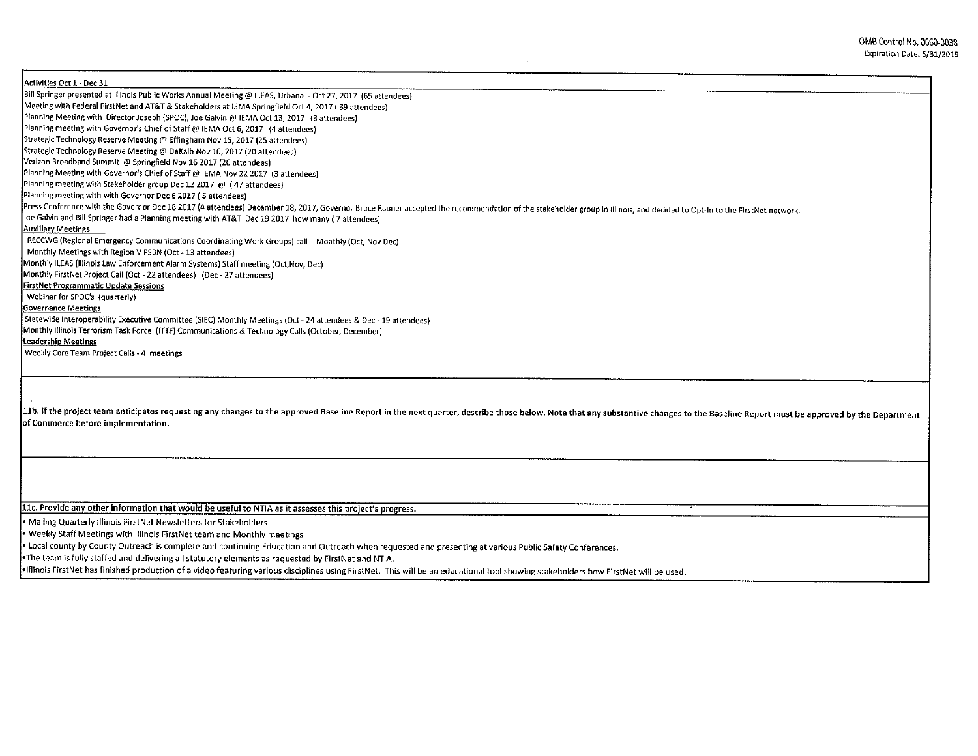0MB Control No. 0660-0038 Expiration Date: 5/31/2019

Activities Oct 1 • Dec 31 Bill Springer presented at Illinois Public Works Annual Meeting@ ILEAS, Urbana - Oct 27, 2017 (65 attendees) Meeting with Federal FirstNet and AT&T & Stakeholders at !EMA Springfield Oct 4, 2017 ( 39 attendees) Planning Meeting with Director Joseph {SPOC), Joe Galvin@ IEMA Oct 13, 2017 {3 attendees) Planning meeting with Governor's Chief of Staff@ IEMA Oct 6, 2017 (4 attendees) Strategic Technology Reserve Meeting@ Effingham Nov 15, 2017 (25 attendees) Strategic Technology Reserve Meeting@ DeKalb Nov 16, 2017 (20 attendees) Verizon Broadband Summit @ Springfield Nov 16 2017 (20 attendees) Planning Meeting with Governor's Chief of Staff @ IEMA Nov 22 2017 (3 attendees) Planning meeting with Stakeholder group Dec 12 2017 @ ( 47 attendees) Planning meeting with with Governor Dec G 2017 ( 5 attendees) Press Conference with the Governor Dec 18 2017 (4 attendees) December 18, 2017, Governor Bruce Rauner accepted the recommendation of the stakeholder group in Illinois, and decided to Opt-In to the FirstNet network. Joe Galvin and Bill Springer had a Planning meeting with AT&T Dec 19 2017 how many ( 7 attendees) Auxiliary Meetings RECCWG (Regional Emergency Communications Coordinating Work Groups) call - Monthly {Oct, Nov Dec) Monthly Meetings with Region V PSBN (Oct -13 attendees) Monthly ILEAS (Illinois Law Enforcement Alarm Systems) Staff meeting {Oct,Nov, Dec) Monthly FirstNet Project Call (Oct- 22 attendees) (Dec- 27 attendees) FirstNet Programmatic Update Sessions Webinar for SPOC's (quarterly) Governance Meetings Statewide Interoperability Executive Committee (SIEC) Monthly Meetings (Oct- 24 attendees & Dec -19 attendees) Monthly Illinois Terrorism Task Force (ITTF) Communications & Technology Calls (October, December) leadership Meetings Weekly Core Team Project Calls - 4 meetings 11b. If the project team anticipates requesting any changes to the approved Baseline Report in the next quarter, describe those below. Note that any substantive changes to the Baseline Report must be approved by the Depart of Commerce before implementation. llc. Provide anv other information that would be useful to NTIA as it assesses this project's progress. • Mailing Quarterly Illinois FirstNet Newsletters for Stakeholders • Weekly Staff Meetings with Illinois First Net team and Monthly meetings • Local county by County Outreach is complete and continuing Education and Outreach when requested and presenting at various Public Safety Conferences. •The team ls fully staffed and delivering all statutory elements as requested by FirstNet and NTIA.

•Illinois FirstNet has finished production of a video featuring various disciplines using FirstNet. This will be an educational tool showing stakeholders how FirstNet will be used.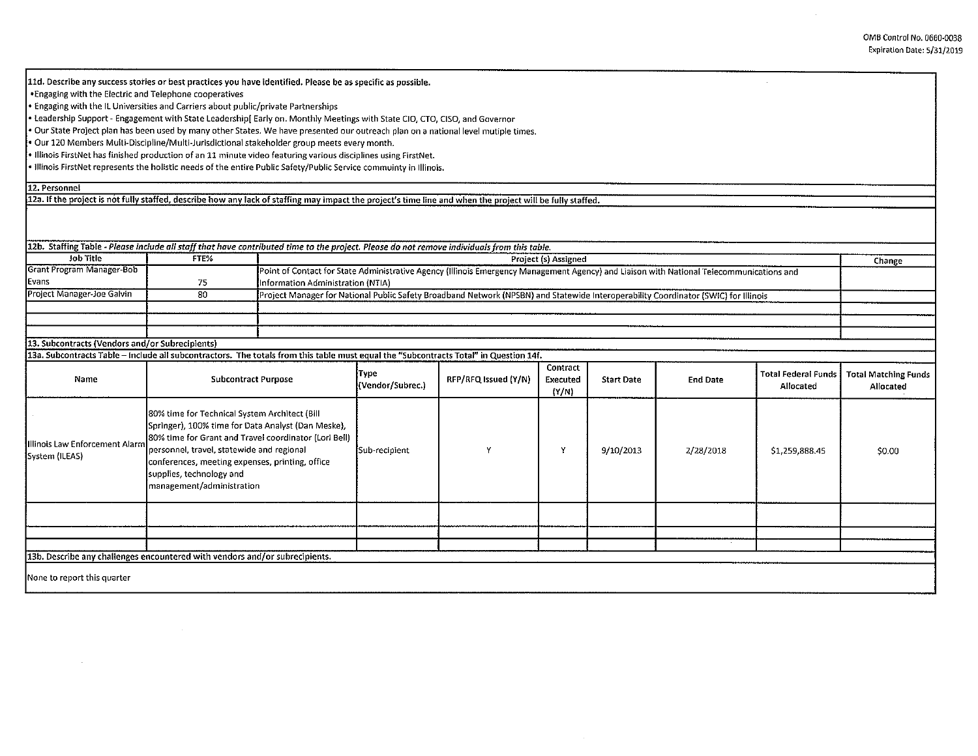0MB Control No. 0660-0038 Expiration Date: 5/31/2019

 $\mathcal{A}^{\mathcal{A}}$ 

| 11d. Describe any success stories or best practices you have identified. Please be as specific as possible.                                                                                                                                                      |                                                                                                                                                                                                                                                                                                                       |  |                                                                                                                                     |                                                                                                                                          |                      |                   |                 |                     |                             |  |
|------------------------------------------------------------------------------------------------------------------------------------------------------------------------------------------------------------------------------------------------------------------|-----------------------------------------------------------------------------------------------------------------------------------------------------------------------------------------------------------------------------------------------------------------------------------------------------------------------|--|-------------------------------------------------------------------------------------------------------------------------------------|------------------------------------------------------------------------------------------------------------------------------------------|----------------------|-------------------|-----------------|---------------------|-----------------------------|--|
| . Engaging with the Electric and Telephone cooperatives                                                                                                                                                                                                          |                                                                                                                                                                                                                                                                                                                       |  |                                                                                                                                     |                                                                                                                                          |                      |                   |                 |                     |                             |  |
| Engaging with the IL Universities and Carriers about public/private Partnerships                                                                                                                                                                                 |                                                                                                                                                                                                                                                                                                                       |  |                                                                                                                                     |                                                                                                                                          |                      |                   |                 |                     |                             |  |
|                                                                                                                                                                                                                                                                  |                                                                                                                                                                                                                                                                                                                       |  |                                                                                                                                     |                                                                                                                                          |                      |                   |                 |                     |                             |  |
| · Leadership Support - Engagement with State Leadership[ Early on. Monthly Meetings with State CIO, CTO, CISO, and Governor<br>Our State Project plan has been used by many other States. We have presented our outreach plan on a national level mutiple times, |                                                                                                                                                                                                                                                                                                                       |  |                                                                                                                                     |                                                                                                                                          |                      |                   |                 |                     |                             |  |
| Our 120 Members Multi-Discipline/Multi-Jurisdictional stakeholder group meets every month.                                                                                                                                                                       |                                                                                                                                                                                                                                                                                                                       |  |                                                                                                                                     |                                                                                                                                          |                      |                   |                 |                     |                             |  |
| . Illinois FirstNet has finished production of an 11 minute video featuring various disciplines using FirstNet,                                                                                                                                                  |                                                                                                                                                                                                                                                                                                                       |  |                                                                                                                                     |                                                                                                                                          |                      |                   |                 |                     |                             |  |
| . Illinois FirstNet represents the holistic needs of the entire Public Safety/Public Service commuinty in Illinois.                                                                                                                                              |                                                                                                                                                                                                                                                                                                                       |  |                                                                                                                                     |                                                                                                                                          |                      |                   |                 |                     |                             |  |
|                                                                                                                                                                                                                                                                  |                                                                                                                                                                                                                                                                                                                       |  |                                                                                                                                     |                                                                                                                                          |                      |                   |                 |                     |                             |  |
| 12. Personnel                                                                                                                                                                                                                                                    |                                                                                                                                                                                                                                                                                                                       |  |                                                                                                                                     |                                                                                                                                          |                      |                   |                 |                     |                             |  |
| 12a. If the project is not fully staffed, describe how any lack of staffing may impact the project's time line and when the project will be fully staffed.                                                                                                       |                                                                                                                                                                                                                                                                                                                       |  |                                                                                                                                     |                                                                                                                                          |                      |                   |                 |                     |                             |  |
|                                                                                                                                                                                                                                                                  |                                                                                                                                                                                                                                                                                                                       |  |                                                                                                                                     |                                                                                                                                          |                      |                   |                 |                     |                             |  |
|                                                                                                                                                                                                                                                                  |                                                                                                                                                                                                                                                                                                                       |  |                                                                                                                                     |                                                                                                                                          |                      |                   |                 |                     |                             |  |
|                                                                                                                                                                                                                                                                  |                                                                                                                                                                                                                                                                                                                       |  |                                                                                                                                     |                                                                                                                                          |                      |                   |                 |                     |                             |  |
| 12b. Staffing Table - Please include all staff that have contributed time to the project. Please do not remove individuals from this table.                                                                                                                      |                                                                                                                                                                                                                                                                                                                       |  |                                                                                                                                     |                                                                                                                                          |                      |                   |                 |                     |                             |  |
| <b>Job Title</b>                                                                                                                                                                                                                                                 | FTE%                                                                                                                                                                                                                                                                                                                  |  |                                                                                                                                     |                                                                                                                                          | Project (s) Assigned |                   |                 |                     | Change                      |  |
| <b>Grant Program Manager-Bob</b>                                                                                                                                                                                                                                 |                                                                                                                                                                                                                                                                                                                       |  |                                                                                                                                     | Point of Contact for State Administrative Agency (Illinois Emergency Management Agency) and Liaison with National Telecommunications and |                      |                   |                 |                     |                             |  |
| Evans                                                                                                                                                                                                                                                            | 75                                                                                                                                                                                                                                                                                                                    |  | Information Administration (NTIA)                                                                                                   |                                                                                                                                          |                      |                   |                 |                     |                             |  |
| Project Manager-Joe Galvin                                                                                                                                                                                                                                       | 80                                                                                                                                                                                                                                                                                                                    |  | Project Manager for National Public Safety Broadband Network (NPSBN) and Statewide Interoperability Coordinator (SWIC) for Illinois |                                                                                                                                          |                      |                   |                 |                     |                             |  |
|                                                                                                                                                                                                                                                                  |                                                                                                                                                                                                                                                                                                                       |  |                                                                                                                                     |                                                                                                                                          |                      |                   |                 |                     |                             |  |
|                                                                                                                                                                                                                                                                  |                                                                                                                                                                                                                                                                                                                       |  |                                                                                                                                     |                                                                                                                                          |                      |                   |                 |                     |                             |  |
|                                                                                                                                                                                                                                                                  |                                                                                                                                                                                                                                                                                                                       |  |                                                                                                                                     |                                                                                                                                          |                      |                   |                 |                     |                             |  |
| 13. Subcontracts (Vendors and/or Subrecipients)                                                                                                                                                                                                                  |                                                                                                                                                                                                                                                                                                                       |  |                                                                                                                                     |                                                                                                                                          |                      |                   |                 |                     |                             |  |
| 13a. Subcontracts Table - Include all subcontractors. The totals from this table must equal the "Subcontracts Total" in Question 14f.                                                                                                                            |                                                                                                                                                                                                                                                                                                                       |  |                                                                                                                                     |                                                                                                                                          |                      |                   |                 |                     |                             |  |
|                                                                                                                                                                                                                                                                  | <b>Subcontract Purpose</b>                                                                                                                                                                                                                                                                                            |  | Type                                                                                                                                |                                                                                                                                          | Contract             |                   |                 | Total Federal Funds | <b>Total Matching Funds</b> |  |
| Name                                                                                                                                                                                                                                                             |                                                                                                                                                                                                                                                                                                                       |  | (Vendor/Subrec.)                                                                                                                    | RFP/RFQ Issued (Y/N)                                                                                                                     | Executed             | <b>Start Date</b> | <b>End Date</b> | Allocated           | Allocated                   |  |
|                                                                                                                                                                                                                                                                  |                                                                                                                                                                                                                                                                                                                       |  |                                                                                                                                     |                                                                                                                                          | (Y/N)                |                   |                 |                     |                             |  |
|                                                                                                                                                                                                                                                                  |                                                                                                                                                                                                                                                                                                                       |  |                                                                                                                                     |                                                                                                                                          |                      |                   |                 |                     |                             |  |
|                                                                                                                                                                                                                                                                  | 80% time for Technical System Architect (Bill<br>Springer), 100% time for Data Analyst (Dan Meske),<br>80% time for Grant and Travel coordinator (Lori Bell)<br>personnel, travel, statewide and regional<br>conferences, meeting expenses, printing, office<br>supplies, technology and<br>management/administration |  |                                                                                                                                     |                                                                                                                                          |                      |                   |                 |                     |                             |  |
|                                                                                                                                                                                                                                                                  |                                                                                                                                                                                                                                                                                                                       |  |                                                                                                                                     |                                                                                                                                          |                      |                   |                 |                     |                             |  |
| Illinois Law Enforcement Alarm                                                                                                                                                                                                                                   |                                                                                                                                                                                                                                                                                                                       |  |                                                                                                                                     |                                                                                                                                          |                      |                   |                 |                     |                             |  |
| System (ILEAS)                                                                                                                                                                                                                                                   |                                                                                                                                                                                                                                                                                                                       |  | Sub-recipient                                                                                                                       | Y                                                                                                                                        | Y                    | 9/10/2013         | 2/28/2018       | \$1,259,888.45      | \$0.00                      |  |
|                                                                                                                                                                                                                                                                  |                                                                                                                                                                                                                                                                                                                       |  |                                                                                                                                     |                                                                                                                                          |                      |                   |                 |                     |                             |  |
|                                                                                                                                                                                                                                                                  |                                                                                                                                                                                                                                                                                                                       |  |                                                                                                                                     |                                                                                                                                          |                      |                   |                 |                     |                             |  |
|                                                                                                                                                                                                                                                                  |                                                                                                                                                                                                                                                                                                                       |  |                                                                                                                                     |                                                                                                                                          |                      |                   |                 |                     |                             |  |
|                                                                                                                                                                                                                                                                  |                                                                                                                                                                                                                                                                                                                       |  |                                                                                                                                     |                                                                                                                                          |                      |                   |                 |                     |                             |  |
|                                                                                                                                                                                                                                                                  |                                                                                                                                                                                                                                                                                                                       |  |                                                                                                                                     |                                                                                                                                          |                      |                   |                 |                     |                             |  |
|                                                                                                                                                                                                                                                                  |                                                                                                                                                                                                                                                                                                                       |  |                                                                                                                                     |                                                                                                                                          |                      |                   |                 |                     |                             |  |
|                                                                                                                                                                                                                                                                  |                                                                                                                                                                                                                                                                                                                       |  |                                                                                                                                     |                                                                                                                                          |                      |                   |                 |                     |                             |  |
| 13b. Describe any challenges encountered with vendors and/or subrecipients.                                                                                                                                                                                      |                                                                                                                                                                                                                                                                                                                       |  |                                                                                                                                     |                                                                                                                                          |                      |                   |                 |                     |                             |  |
|                                                                                                                                                                                                                                                                  |                                                                                                                                                                                                                                                                                                                       |  |                                                                                                                                     |                                                                                                                                          |                      |                   |                 |                     |                             |  |
| None to report this quarter                                                                                                                                                                                                                                      |                                                                                                                                                                                                                                                                                                                       |  |                                                                                                                                     |                                                                                                                                          |                      |                   |                 |                     |                             |  |
|                                                                                                                                                                                                                                                                  |                                                                                                                                                                                                                                                                                                                       |  |                                                                                                                                     |                                                                                                                                          |                      |                   |                 |                     |                             |  |

 $\sim 10^{-11}$ 

 $\sim 10^{-1}$